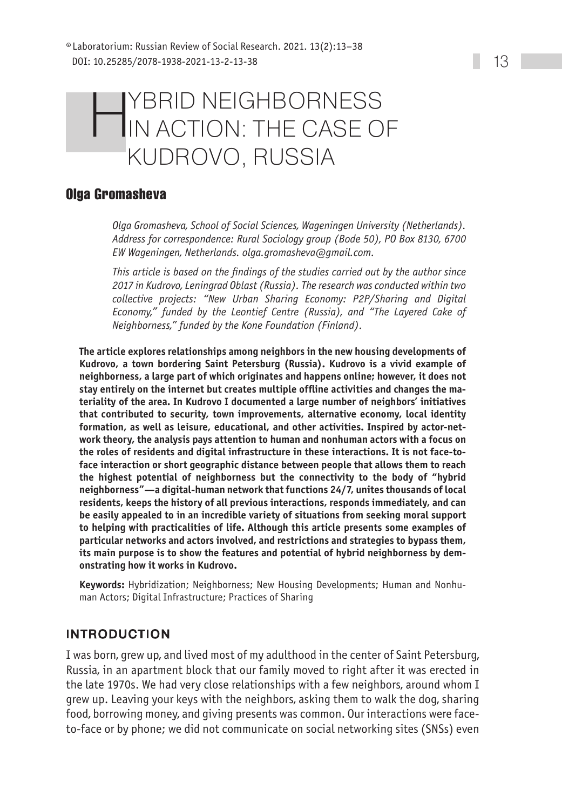# **HYBRID NEIGHBORNESS<br>IN ACTION: THE CASE OF** Kudrovo, Russia

# **Olga Gromasheva**

*Olga Gromasheva, School of Social Sciences, Wageningen University (Netherlands). Address for correspondence: Rural Sociology group (Bode 50), PO Box 8130, 6700 EW Wageningen, Netherlands. [olga.gromasheva@gmail.com](mailto:olga.gromasheva@gmail.com).*

*This article is based on the findings of the studies carried out by the author since 2017 in Kudrovo, Leningrad Oblast (Russia). The research was conducted within two collective projects: "New Urban Sharing Economy: P2P/Sharing and Digital Economy," funded by the Leontief Centre (Russia), and "The Layered Cake of Neighborness," funded by the Kone Foundation (Finland).*

**The article explores relationships among neighbors in the new housing developments of Kudrovo, a town bordering Saint Petersburg (Russia). Kudrovo is a vivid example of neighborness, a large part of which originates and happens online; however, it does not stay entirely on the internet but creates multiple offline activities and changes the materiality of the area. In Kudrovo I documented a large number of neighbors' initiatives that contributed to security, town improvements, alternative economy, local identity formation, as well as leisure, educational, and other activities. Inspired by actor-network theory, the analysis pays attention to human and nonhuman actors with a focus on the roles of residents and digital infrastructure in these interactions. It is not face-toface interaction or short geographic distance between people that allows them to reach the highest potential of neighborness but the connectivity to the body of "hybrid neighborness"—a digital-human network that functions 24/7, unites thousands of local residents, keeps the history of all previous interactions, responds immediately, and can be easily appealed to in an incredible variety of situations from seeking moral support to helping with practicalities of life. Although this article presents some examples of particular networks and actors involved, and restrictions and strategies to bypass them, its main purpose is to show the features and potential of hybrid neighborness by demonstrating how it works in Kudrovo.**

**Keywords:** Hybridization; Neighborness; New Housing Developments; Human and Nonhuman Actors; Digital Infrastructure; Practices of Sharing

# Introduction

I was born, grew up, and lived most of my adulthood in the center of Saint Petersburg, Russia, in an apartment block that our family moved to right after it was erected in the late 1970s. We had very close relationships with a few neighbors, around whom I grew up. Leaving your keys with the neighbors, asking them to walk the dog, sharing food, borrowing money, and giving presents was common. Our interactions were faceto-face or by phone; we did not communicate on social networking sites (SNSs) even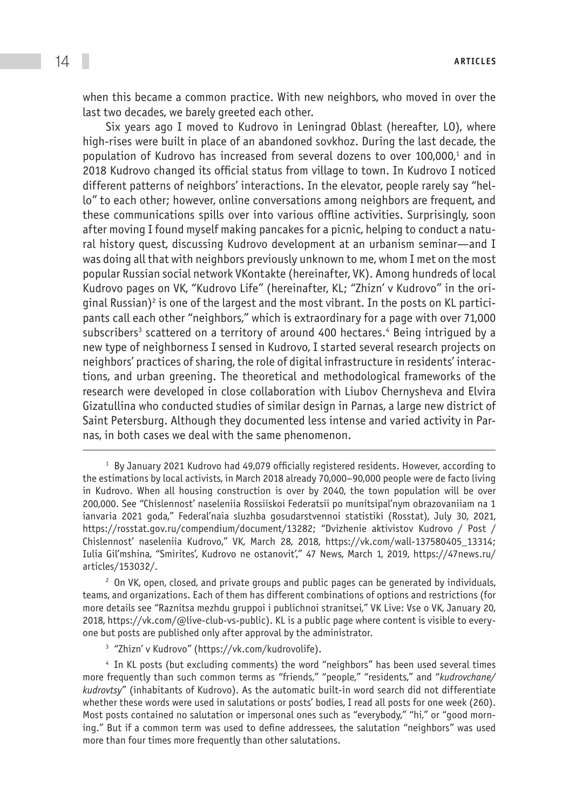when this became a common practice. With new neighbors, who moved in over the last two decades, we barely greeted each other.

Six years ago I moved to Kudrovo in Leningrad Oblast (hereafter, LO), where high-rises were built in place of an abandoned sovkhoz. During the last decade, the population of Kudrovo has increased from several dozens to over 100,000,<sup>1</sup> and in 2018 Kudrovo changed its official status from village to town. In Kudrovo I noticed different patterns of neighbors' interactions. In the elevator, people rarely say "hello" to each other; however, online conversations among neighbors are frequent, and these communications spills over into various offline activities. Surprisingly, soon after moving I found myself making pancakes for a picnic, helping to conduct a natural history quest, discussing Kudrovo development at an urbanism seminar—and I was doing all that with neighbors previously unknown to me, whom I met on the most popular Russian social network VKontakte (hereinafter, VK). Among hundreds of local Kudrovo pages on VK, "Kudrovo Life" (hereinafter, KL; "Zhizn' v Kudrovo" in the original Russian) $^{\rm 2}$  is one of the largest and the most vibrant. In the posts on KL participants call each other "neighbors," which is extraordinary for a page with over 71,000 subscribers<sup>3</sup> scattered on a territory of around 400 hectares.<sup>4</sup> Being intrigued by a new type of neighborness I sensed in Kudrovo, I started several research projects on neighbors' practices of sharing, the role of digital infrastructure in residents' interactions, and urban greening. The theoretical and methodological frameworks of the research were developed in close collaboration with Liubov Chernysheva and Elvira Gizatullina who conducted studies of similar design in Parnas, a large new district of Saint Petersburg. Although they documented less intense and varied activity in Parnas, in both cases we deal with the same phenomenon.

<sup>&</sup>lt;sup>1</sup> By January 2021 Kudrovo had 49,079 officially registered residents. However, according to the estimations by local activists, in March 2018 already 70,000–90,000 people were de facto living in Kudrovo. When all housing construction is over by 2040, the town population will be over 200,000. See "Chislennost' naseleniia Rossiiskoi Federatsii po munitsipal'nym obrazovaniiam na 1 ianvaria 2021 goda," Federal'naia sluzhba gosudarstvennoi statistiki (Rosstat), July 30, 2021, <https://rosstat.gov.ru/compendium/document/13282>; "Dvizhenie aktivistov Kudrovo / Post / Chislennost' naseleniia Kudrovo," VK, March 28, 2018, [https://vk.com/wall-137580405\\_13314](https://vk.com/wall-137580405_13314); Iulia Gil'mshina, "Smirites', Kudrovo ne ostanovit'," 47 News, March 1, 2019, [https://47news.ru/](https://47news.ru/articles/153032/) [articles/153032/.](https://47news.ru/articles/153032/)

<sup>&</sup>lt;sup>2</sup> On VK, open, closed, and private groups and public pages can be generated by individuals, teams, and organizations. Each of them has different combinations of options and restrictions (for more details see "Raznitsa mezhdu gruppoi i publichnoi stranitsei," VK Live: Vse o VK, January 20, 2018, [https://vk.com/@live-club-vs-public\)](https://vk.com/@live-club-vs-public). KL is a public page where content is visible to everyone but posts are published only after approval by the administrator.

<sup>&</sup>lt;sup>3</sup> "Zhizn' v Kudrovo" ([https://vk.com/kudrovolife\)](https://vk.com/kudrovolife).

<sup>4</sup> In KL posts (but excluding comments) the word "neighbors" has been used several times more frequently than such common terms as "friends," "people," "residents," and "*kudrovchane/ kudrovtsy*" (inhabitants of Kudrovo). As the automatic built-in word search did not differentiate whether these words were used in salutations or posts' bodies, I read all posts for one week (260). Most posts contained no salutation or impersonal ones such as "everybody," "hi," or "good morning." But if a common term was used to define addressees, the salutation "neighbors" was used more than four times more frequently than other salutations.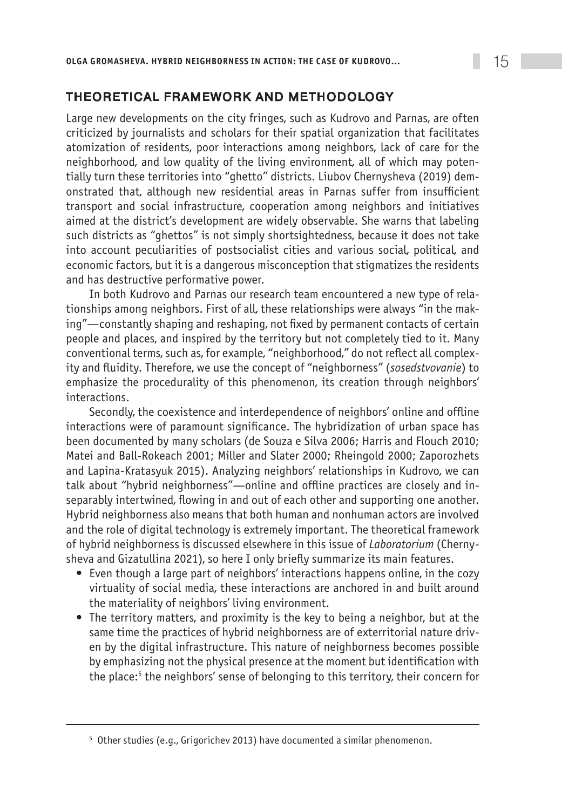# THEORETICAL FRAMEWORK AND METHODOLOGY

Large new developments on the city fringes, such as Kudrovo and Parnas, are often criticized by journalists and scholars for their spatial organization that facilitates atomization of residents, poor interactions among neighbors, lack of care for the neighborhood, and low quality of the living environment, all of which may potentially turn these territories into "ghetto" districts. Liubov Chernysheva (2019) demonstrated that, although new residential areas in Parnas suffer from insufficient transport and social infrastructure, cooperation among neighbors and initiatives aimed at the district's development are widely observable. She warns that labeling such districts as "ghettos" is not simply shortsightedness, because it does not take into account peculiarities of postsocialist cities and various social, political, and economic factors, but it is a dangerous misconception that stigmatizes the residents and has destructive performative power.

In both Kudrovo and Parnas our research team encountered a new type of relationships among neighbors. First of all, these relationships were always "in the making"—constantly shaping and reshaping, not fixed by permanent contacts of certain people and places, and inspired by the territory but not completely tied to it. Many conventional terms, such as, for example, "neighborhood," do not reflect all complexity and fluidity. Therefore, we use the concept of "neighborness" (*sosedstvovanie*) to emphasize the procedurality of this phenomenon, its creation through neighbors' interactions.

Secondly, the coexistence and interdependence of neighbors' online and offline interactions were of paramount significance. The hybridization of urban space has been documented by many scholars (de Souza e Silva 2006; Harris and Flouch 2010; Matei and Ball-Rokeach 2001; Miller and Slater 2000; Rheingold 2000; Zaporozhets and Lapina-Kratasyuk 2015). Analyzing neighbors' relationships in Kudrovo, we can talk about "hybrid neighborness"—online and offline practices are closely and inseparably intertwined, flowing in and out of each other and supporting one another. Hybrid neighborness also means that both human and nonhuman actors are involved and the role of digital technology is extremely important. The theoretical framework of hybrid neighborness is discussed elsewhere in this issue of *Laboratorium* (Chernysheva and Gizatullina 2021), so here I only briefly summarize its main features.

- Even though a large part of neighbors' interactions happens online, in the cozy virtuality of social media, these interactions are anchored in and built around the materiality of neighbors' living environment.
- The territory matters, and proximity is the key to being a neighbor, but at the same time the practices of hybrid neighborness are of exterritorial nature driven by the digital infrastructure. This nature of neighborness becomes possible by emphasizing not the physical presence at the moment but identification with the place:<sup>5</sup> the neighbors' sense of belonging to this territory, their concern for

<sup>5</sup> Other studies (e.g., Grigorichev 2013) have documented a similar phenomenon.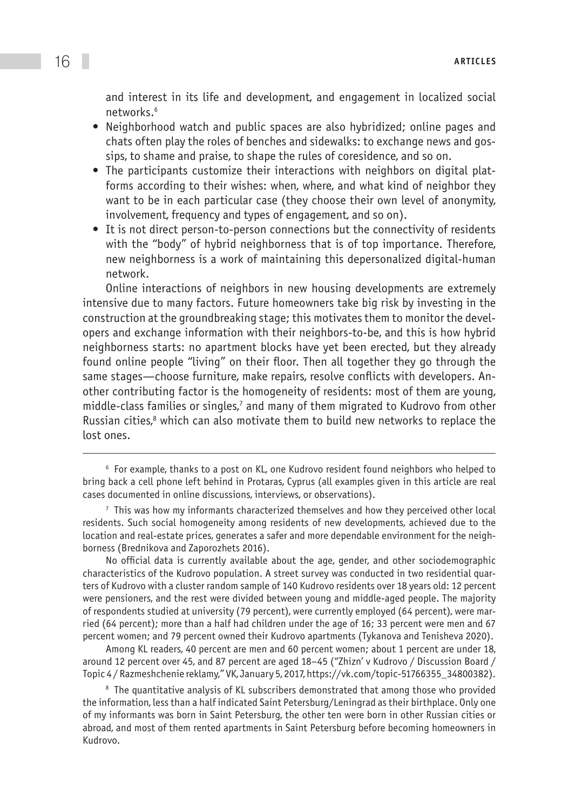and interest in its life and development, and engagement in localized social networks.6

- Neighborhood watch and public spaces are also hybridized; online pages and chats often play the roles of benches and sidewalks: to exchange news and gossips, to shame and praise, to shape the rules of coresidence, and so on.
- The participants customize their interactions with neighbors on digital platforms according to their wishes: when, where, and what kind of neighbor they want to be in each particular case (they choose their own level of anonymity, involvement, frequency and types of engagement, and so on).
- It is not direct person-to-person connections but the connectivity of residents with the "body" of hybrid neighborness that is of top importance. Therefore, new neighborness is a work of maintaining this depersonalized digital-human network.

Online interactions of neighbors in new housing developments are extremely intensive due to many factors. Future homeowners take big risk by investing in the construction at the groundbreaking stage; this motivates them to monitor the developers and exchange information with their neighbors-to-be, and this is how hybrid neighborness starts: no apartment blocks have yet been erected, but they already found online people "living" on their floor. Then all together they go through the same stages—choose furniture, make repairs, resolve conflicts with developers. Another contributing factor is the homogeneity of residents: most of them are young, middle-class families or singles, $^7$  and many of them migrated to Kudrovo from other Russian cities,<sup>8</sup> which can also motivate them to build new networks to replace the lost ones.

 $<sup>7</sup>$  This was how my informants characterized themselves and how they perceived other local</sup> residents. Such social homogeneity among residents of new developments, achieved due to the location and real-estate prices, generates a safer and more dependable environment for the neighborness (Brednikova and Zaporozhets 2016).

No official data is currently available about the age, gender, and other sociodemographic characteristics of the Kudrovo population. A street survey was conducted in two residential quarters of Kudrovo with a cluster random sample of 140 Kudrovo residents over 18 years old: 12 percent were pensioners, and the rest were divided between young and middle-aged people. The majority of respondents studied at university (79 percent), were currently employed (64 percent), were married (64 percent); more than a half had children under the age of 16; 33 percent were men and 67 percent women; and 79 percent owned their Kudrovo apartments (Tykanova and Tenisheva 2020).

Among KL readers, 40 percent are men and 60 percent women; about 1 percent are under 18, around 12 percent over 45, and 87 percent are aged 18–45 ("Zhizn' v Kudrovo / Discussion Board / Topic 4 / Razmeshchenie reklamy," VK, January 5, 2017, [https://vk.com/topic-51766355\\_34800382](https://vk.com/topic-51766355_34800382)).

<sup>8</sup> The quantitative analysis of KL subscribers demonstrated that among those who provided the information, less than a half indicated Saint Petersburg/Leningrad as their birthplace. Only one of my informants was born in Saint Petersburg, the other ten were born in other Russian cities or abroad, and most of them rented apartments in Saint Petersburg before becoming homeowners in Kudrovo.

 $6$  For example, thanks to a post on KL, one Kudrovo resident found neighbors who helped to bring back a cell phone left behind in Protaras, Cyprus (all examples given in this article are real cases documented in online discussions, interviews, or observations).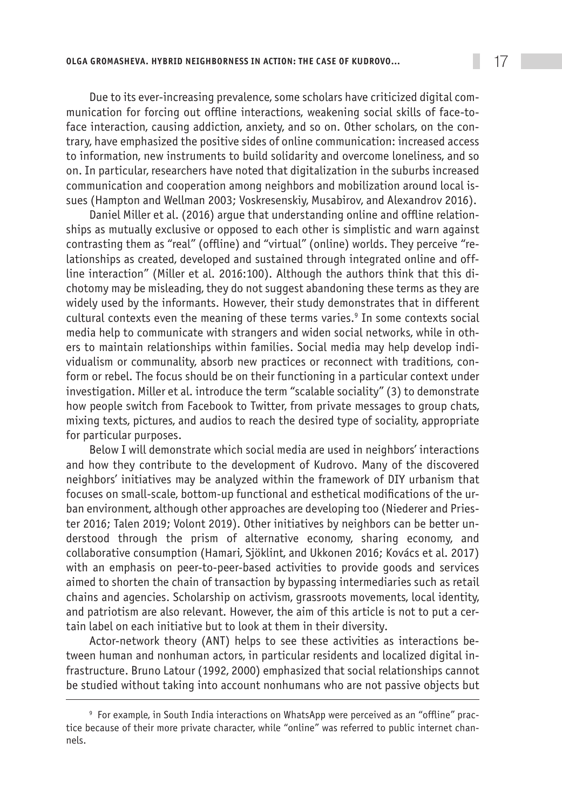Due to its ever-increasing prevalence, some scholars have criticized digital communication for forcing out offline interactions, weakening social skills of face-toface interaction, causing addiction, anxiety, and so on. Other scholars, on the contrary, have emphasized the positive sides of online communication: increased access to information, new instruments to build solidarity and overcome loneliness, and so on. In particular, researchers have noted that digitalization in the suburbs increased communication and cooperation among neighbors and mobilization around local issues (Hampton and Wellman 2003; Voskresenskiy, Musabirov, and Alexandrov 2016).

Daniel Miller et al. (2016) argue that understanding online and offline relationships as mutually exclusive or opposed to each other is simplistic and warn against contrasting them as "real" (offline) and "virtual" (online) worlds. They perceive "relationships as created, developed and sustained through integrated online and offline interaction" (Miller et al. 2016:100). Although the authors think that this dichotomy may be misleading, they do not suggest abandoning these terms as they are widely used by the informants. However, their study demonstrates that in different cultural contexts even the meaning of these terms varies.<sup>9</sup> In some contexts social media help to communicate with strangers and widen social networks, while in others to maintain relationships within families. Social media may help develop individualism or communality, absorb new practices or reconnect with traditions, conform or rebel. The focus should be on their functioning in a particular context under investigation. Miller et al. introduce the term "scalable sociality" (3) to demonstrate how people switch from Facebook to Twitter, from private messages to group chats, mixing texts, pictures, and audios to reach the desired type of sociality, appropriate for particular purposes.

Below I will demonstrate which social media are used in neighbors' interactions and how they contribute to the development of Kudrovo. Many of the discovered neighbors' initiatives may be analyzed within the framework of DIY urbanism that focuses on small-scale, bottom-up functional and esthetical modifications of the urban environment, although other approaches are developing too (Niederer and Priester 2016; Talen 2019; Volont 2019). Other initiatives by neighbors can be better understood through the prism of alternative economy, sharing economy, and collaborative consumption (Hamari, Sjöklint, and Ukkonen 2016; Kovács et al. 2017) with an emphasis on peer-to-peer-based activities to provide goods and services aimed to shorten the chain of transaction by bypassing intermediaries such as retail chains and agencies. Scholarship on activism, grassroots movements, local identity, and patriotism are also relevant. However, the aim of this article is not to put a certain label on each initiative but to look at them in their diversity.

Actor-network theory (ANT) helps to see these activities as interactions between human and nonhuman actors, in particular residents and localized digital infrastructure. Bruno Latour (1992, 2000) emphasized that social relationships cannot be studied without taking into account nonhumans who are not passive objects but

<sup>&</sup>lt;sup>9</sup> For example, in South India interactions on WhatsApp were perceived as an "offline" practice because of their more private character, while "online" was referred to public internet channels.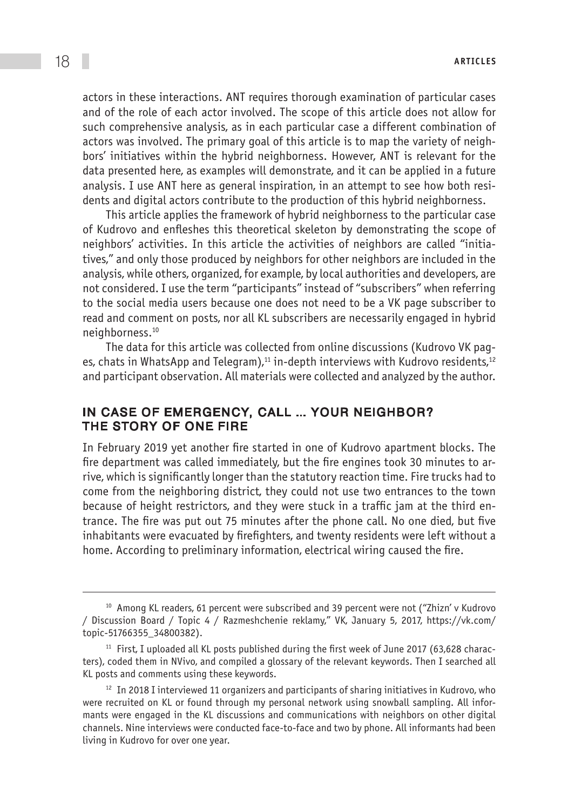actors in these interactions. ANT requires thorough examination of particular cases and of the role of each actor involved. The scope of this article does not allow for such comprehensive analysis, as in each particular case a different combination of actors was involved. The primary goal of this article is to map the variety of neighbors' initiatives within the hybrid neighborness. However, ANT is relevant for the data presented here, as examples will demonstrate, and it can be applied in a future analysis. I use ANT here as general inspiration, in an attempt to see how both residents and digital actors contribute to the production of this hybrid neighborness.

This article applies the framework of hybrid neighborness to the particular case of Kudrovo and enfleshes this theoretical skeleton by demonstrating the scope of neighbors' activities. In this article the activities of neighbors are called "initiatives," and only those produced by neighbors for other neighbors are included in the analysis, while others, organized, for example, by local authorities and developers, are not considered. I use the term "participants" instead of "subscribers" when referring to the social media users because one does not need to be a VK page subscriber to read and comment on posts, nor all KL subscribers are necessarily engaged in hybrid neighborness.10

The data for this article was collected from online discussions (Kudrovo VK pages, chats in WhatsApp and Telegram),<sup>11</sup> in-depth interviews with Kudrovo residents,<sup>12</sup> and participant observation. All materials were collected and analyzed by the author.

#### In case of emergency, call … your neighbor? The story of one fire

In February 2019 yet another fire started in one of Kudrovo apartment blocks. The fire department was called immediately, but the fire engines took 30 minutes to arrive, which is significantly longer than the statutory reaction time. Fire trucks had to come from the neighboring district, they could not use two entrances to the town because of height restrictors, and they were stuck in a traffic jam at the third entrance. The fire was put out 75 minutes after the phone call. No one died, but five inhabitants were evacuated by firefighters, and twenty residents were left without a home. According to preliminary information, electrical wiring caused the fire.

<sup>&</sup>lt;sup>10</sup> Among KL readers, 61 percent were subscribed and 39 percent were not ("Zhizn' v Kudrovo / Discussion Board / Topic 4 / Razmeshchenie reklamy," VK, January 5, 2017, [https://vk.com/](https://vk.com/topic-51766355_34800382) [topic-51766355\\_34800382\)](https://vk.com/topic-51766355_34800382).

 $11$  First, I uploaded all KL posts published during the first week of June 2017 (63,628 characters), coded them in NVivo, and compiled a glossary of the relevant keywords. Then I searched all KL posts and comments using these keywords.

 $12$  In 2018 I interviewed 11 organizers and participants of sharing initiatives in Kudrovo, who were recruited on KL or found through my personal network using snowball sampling. All informants were engaged in the KL discussions and communications with neighbors on other digital channels. Nine interviews were conducted face-to-face and two by phone. All informants had been living in Kudrovo for over one year.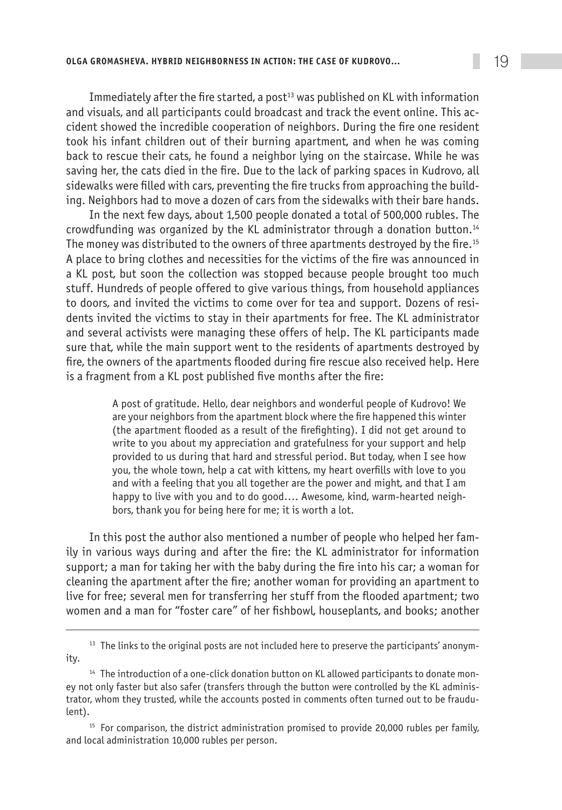Immediately after the fire started, a post<sup>13</sup> was published on KL with information and visuals, and all participants could broadcast and track the event online. This accident showed the incredible cooperation of neighbors. During the fire one resident took his infant children out of their burning apartment, and when he was coming back to rescue their cats, he found a neighbor lying on the staircase. While he was saving her, the cats died in the fire. Due to the lack of parking spaces in Kudrovo, all sidewalks were filled with cars, preventing the fire trucks from approaching the building. Neighbors had to move a dozen of cars from the sidewalks with their bare hands.

In the next few days, about 1,500 people donated a total of 500,000 rubles. The crowdfunding was organized by the KL administrator through a donation button.14 The money was distributed to the owners of three apartments destroyed by the fire.15 A place to bring clothes and necessities for the victims of the fire was announced in a KL post, but soon the collection was stopped because people brought too much stuff. Hundreds of people offered to give various things, from household appliances to doors, and invited the victims to come over for tea and support. Dozens of residents invited the victims to stay in their apartments for free. The KL administrator and several activists were managing these offers of help. The KL participants made sure that, while the main support went to the residents of apartments destroyed by fire, the owners of the apartments flooded during fire rescue also received help. Here is a fragment from a KL post published five months after the fire:

> A post of gratitude. Hello, dear neighbors and wonderful people of Kudrovo! We are your neighbors from the apartment block where the fire happened this winter (the apartment flooded as a result of the firefighting). I did not get around to write to you about my appreciation and gratefulness for your support and help provided to us during that hard and stressful period. But today, when I see how you, the whole town, help a cat with kittens, my heart overfills with love to you and with a feeling that you all together are the power and might, and that I am happy to live with you and to do good…. Awesome, kind, warm-hearted neighbors, thank you for being here for me; it is worth a lot.

In this post the author also mentioned a number of people who helped her family in various ways during and after the fire: the KL administrator for information support; a man for taking her with the baby during the fire into his car; a woman for cleaning the apartment after the fire; another woman for providing an apartment to live for free; several men for transferring her stuff from the flooded apartment; two women and a man for "foster care" of her fishbowl, houseplants, and books; another

<sup>15</sup> For comparison, the district administration promised to provide 20,000 rubles per family, and local administration 10,000 rubles per person.

 $13$  The links to the original posts are not included here to preserve the participants' anonymity.

<sup>&</sup>lt;sup>14</sup> The introduction of a one-click donation button on KL allowed participants to donate money not only faster but also safer (transfers through the button were controlled by the KL administrator, whom they trusted, while the accounts posted in comments often turned out to be fraudulent).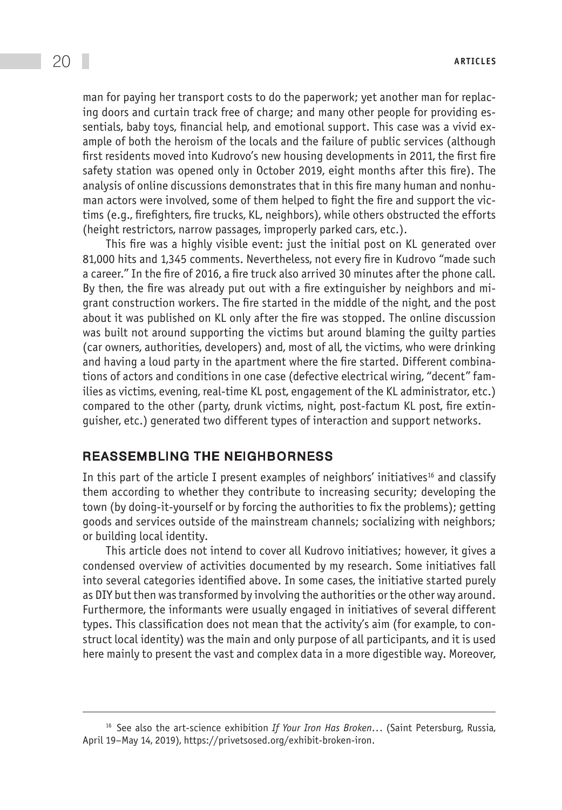man for paying her transport costs to do the paperwork; yet another man for replacing doors and curtain track free of charge; and many other people for providing essentials, baby toys, financial help, and emotional support. This case was a vivid example of both the heroism of the locals and the failure of public services (although first residents moved into Kudrovo's new housing developments in 2011, the first fire safety station was opened only in October 2019, eight months after this fire). The analysis of online discussions demonstrates that in this fire many human and nonhuman actors were involved, some of them helped to fight the fire and support the victims (e.g., firefighters, fire trucks, KL, neighbors), while others obstructed the efforts (height restrictors, narrow passages, improperly parked cars, etc.).

This fire was a highly visible event: just the initial post on KL generated over 81,000 hits and 1,345 comments. Nevertheless, not every fire in Kudrovo "made such a career." In the fire of 2016, a fire truck also arrived 30 minutes after the phone call. By then, the fire was already put out with a fire extinguisher by neighbors and migrant construction workers. The fire started in the middle of the night, and the post about it was published on KL only after the fire was stopped. The online discussion was built not around supporting the victims but around blaming the guilty parties (car owners, authorities, developers) and, most of all, the victims, who were drinking and having a loud party in the apartment where the fire started. Different combinations of actors and conditions in one case (defective electrical wiring, "decent" families as victims, evening, real-time KL post, engagement of the KL administrator, etc.) compared to the other (party, drunk victims, night, post-factum KL post, fire extinguisher, etc.) generated two different types of interaction and support networks.

#### Reassembling the neighborness

In this part of the article I present examples of neighbors' initiatives<sup>16</sup> and classify them according to whether they contribute to increasing security; developing the town (by doing-it-yourself or by forcing the authorities to fix the problems); getting goods and services outside of the mainstream channels; socializing with neighbors; or building local identity.

This article does not intend to cover all Kudrovo initiatives; however, it gives a condensed overview of activities documented by my research. Some initiatives fall into several categories identified above. In some cases, the initiative started purely as DIY but then was transformed by involving the authorities or the other way around. Furthermore, the informants were usually engaged in initiatives of several different types. This classification does not mean that the activity's aim (for example, to construct local identity) was the main and only purpose of all participants, and it is used here mainly to present the vast and complex data in a more digestible way. Moreover,

<sup>16</sup> See also the art-science exhibition *If Your Iron Has Broken*... (Saint Petersburg, Russia, April 19–May 14, 2019), [https://privetsosed.org/exhibit-broken-iron.](https://privetsosed.org/exhibit-broken-iron)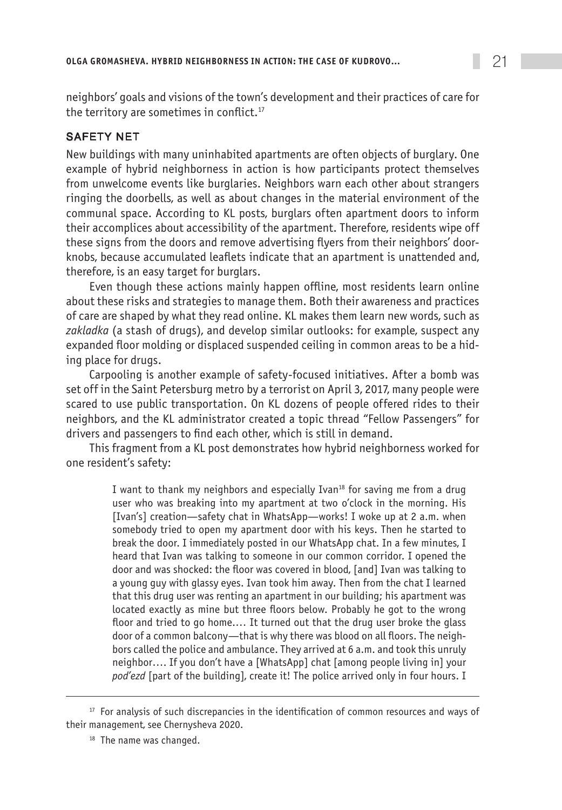neighbors' goals and visions of the town's development and their practices of care for the territory are sometimes in conflict.<sup>17</sup>

# Safety net

New buildings with many uninhabited apartments are often objects of burglary. One example of hybrid neighborness in action is how participants protect themselves from unwelcome events like burglaries. Neighbors warn each other about strangers ringing the doorbells, as well as about changes in the material environment of the communal space. According to KL posts, burglars often apartment doors to inform their accomplices about accessibility of the apartment. Therefore, residents wipe off these signs from the doors and remove advertising flyers from their neighbors' doorknobs, because accumulated leaflets indicate that an apartment is unattended and, therefore, is an easy target for burglars.

Even though these actions mainly happen offline, most residents learn online about these risks and strategies to manage them. Both their awareness and practices of care are shaped by what they read online. KL makes them learn new words, such as *zakladka* (a stash of drugs), and develop similar outlooks: for example, suspect any expanded floor molding or displaced suspended ceiling in common areas to be a hiding place for drugs.

Carpooling is another example of safety-focused initiatives. After a bomb was set off in the Saint Petersburg metro by a terrorist on April 3, 2017, many people were scared to use public transportation. On KL dozens of people offered rides to their neighbors, and the KL administrator created a topic thread "Fellow Passengers" for drivers and passengers to find each other, which is still in demand.

This fragment from a KL post demonstrates how hybrid neighborness worked for one resident's safety:

> I want to thank my neighbors and especially Ivan<sup>18</sup> for saving me from a drug user who was breaking into my apartment at two o'clock in the morning. His [Ivan's] creation—safety chat in WhatsApp—works! I woke up at 2 a.m. when somebody tried to open my apartment door with his keys. Then he started to break the door. I immediately posted in our WhatsApp chat. In a few minutes, I heard that Ivan was talking to someone in our common corridor. I opened the door and was shocked: the floor was covered in blood, [and] Ivan was talking to a young guy with glassy eyes. Ivan took him away. Then from the chat I learned that this drug user was renting an apartment in our building; his apartment was located exactly as mine but three floors below. Probably he got to the wrong floor and tried to go home.… It turned out that the drug user broke the glass door of a common balcony—that is why there was blood on all floors. The neighbors called the police and ambulance. They arrived at 6 a.m. and took this unruly neighbor…. If you don't have a [WhatsApp] chat [among people living in] your *pod'ezd* [part of the building], create it! The police arrived only in four hours. I

 $17$  For analysis of such discrepancies in the identification of common resources and ways of their management, see Chernysheva 2020.

<sup>&</sup>lt;sup>18</sup> The name was changed.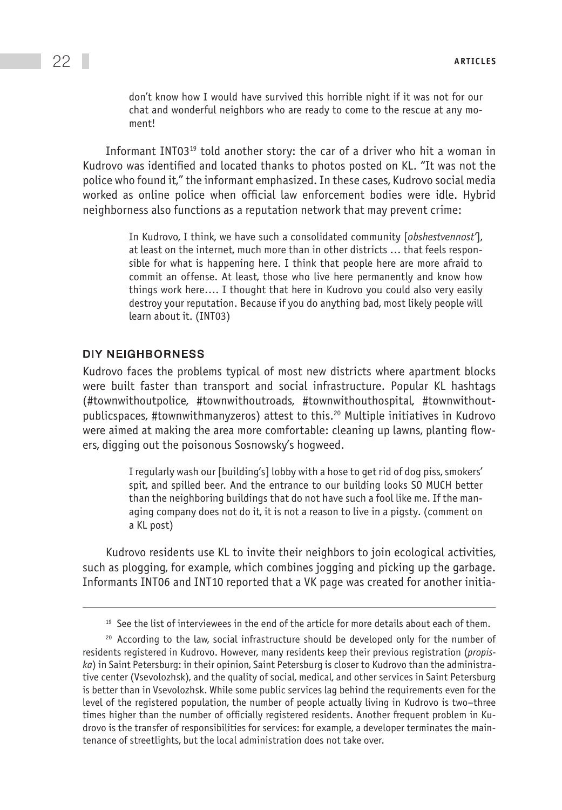don't know how I would have survived this horrible night if it was not for our chat and wonderful neighbors who are ready to come to the rescue at any moment!

Informant INT03<sup>19</sup> told another story: the car of a driver who hit a woman in Kudrovo was identified and located thanks to photos posted on KL. "It was not the police who found it," the informant emphasized. In these cases, Kudrovo social media worked as online police when official law enforcement bodies were idle. Hybrid neighborness also functions as a reputation network that may prevent crime:

> In Kudrovo, I think, we have such a consolidated community [*obshestvennost'*], at least on the internet, much more than in other districts … that feels responsible for what is happening here. I think that people here are more afraid to commit an offense. At least, those who live here permanently and know how things work here…. I thought that here in Kudrovo you could also very easily destroy your reputation. Because if you do anything bad, most likely people will learn about it. (INT03)

#### DIY neighborness

Kudrovo faces the problems typical of most new districts where apartment blocks were built faster than transport and social infrastructure. Popular KL hashtags (#townwithoutpolice, #townwithoutroads, #townwithouthospital, #townwithoutpublicspaces, #townwithmanyzeros) attest to this.20 Multiple initiatives in Kudrovo were aimed at making the area more comfortable: cleaning up lawns, planting flowers, digging out the poisonous Sosnowsky's hogweed.

> I regularly wash our [building's] lobby with a hose to get rid of dog piss, smokers' spit, and spilled beer. And the entrance to our building looks SO MUCH better than the neighboring buildings that do not have such a fool like me. If the managing company does not do it, it is not a reason to live in a pigsty. (comment on a KL post)

Kudrovo residents use KL to invite their neighbors to join ecological activities, such as plogging, for example, which combines jogging and picking up the garbage. Informants INT06 and INT10 reported that a VK page was created for another initia-

 $19$  See the list of interviewees in the end of the article for more details about each of them.

 $20$  According to the law, social infrastructure should be developed only for the number of residents registered in Kudrovo. However, many residents keep their previous registration (*propiska*) in Saint Petersburg: in their opinion, Saint Petersburg is closer to Kudrovo than the administrative center (Vsevolozhsk), and the quality of social, medical, and other services in Saint Petersburg is better than in Vsevolozhsk. While some public services lag behind the requirements even for the level of the registered population, the number of people actually living in Kudrovo is two–three times higher than the number of officially registered residents. Another frequent problem in Kudrovo is the transfer of responsibilities for services: for example, a developer terminates the maintenance of streetlights, but the local administration does not take over.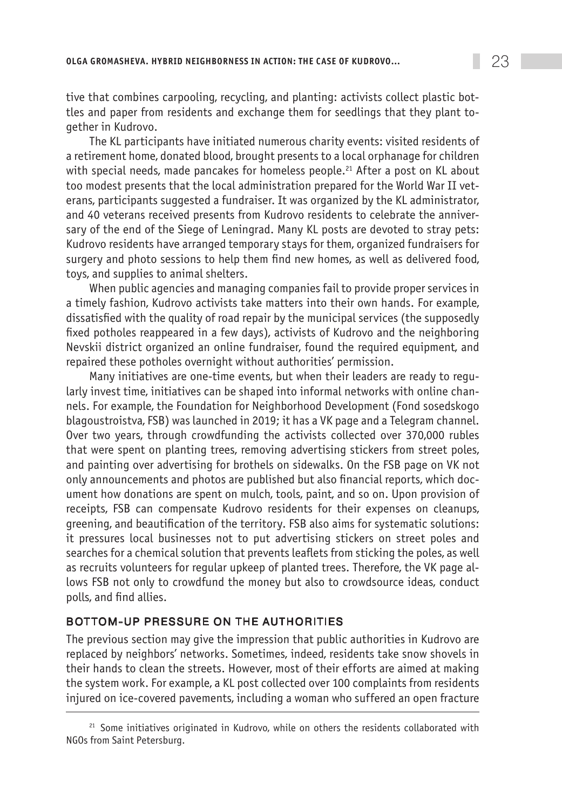tive that combines carpooling, recycling, and planting: activists collect plastic bottles and paper from residents and exchange them for seedlings that they plant together in Kudrovo.

The KL participants have initiated numerous charity events: visited residents of a retirement home, donated blood, brought presents to a local orphanage for children with special needs, made pancakes for homeless people.<sup>21</sup> After a post on KL about too modest presents that the local administration prepared for the World War II veterans, participants suggested a fundraiser. It was organized by the KL administrator, and 40 veterans received presents from Kudrovo residents to celebrate the anniversary of the end of the Siege of Leningrad. Many KL posts are devoted to stray pets: Kudrovo residents have arranged temporary stays for them, organized fundraisers for surgery and photo sessions to help them find new homes, as well as delivered food, toys, and supplies to animal shelters.

When public agencies and managing companies fail to provide proper services in a timely fashion, Kudrovo activists take matters into their own hands. For example, dissatisfied with the quality of road repair by the municipal services (the supposedly fixed potholes reappeared in a few days), activists of Kudrovo and the neighboring Nevskii district organized an online fundraiser, found the required equipment, and repaired these potholes overnight without authorities' permission.

Many initiatives are one-time events, but when their leaders are ready to regularly invest time, initiatives can be shaped into informal networks with online channels. For example, the Foundation for Neighborhood Development (Fond sosedskogo blagoustroistva, FSB) was launched in 2019; it has a VK page and a Telegram channel. Over two years, through crowdfunding the activists collected over 370,000 rubles that were spent on planting trees, removing advertising stickers from street poles, and painting over advertising for brothels on sidewalks. On the FSB page on VK not only announcements and photos are published but also financial reports, which document how donations are spent on mulch, tools, paint, and so on. Upon provision of receipts, FSB can compensate Kudrovo residents for their expenses on cleanups, greening, and beautification of the territory. FSB also aims for systematic solutions: it pressures local businesses not to put advertising stickers on street poles and searches for a chemical solution that prevents leaflets from sticking the poles, as well as recruits volunteers for regular upkeep of planted trees. Therefore, the VK page allows FSB not only to crowdfund the money but also to crowdsource ideas, conduct polls, and find allies.

#### Bottom-up pressure on the authorities

The previous section may give the impression that public authorities in Kudrovo are replaced by neighbors' networks. Sometimes, indeed, residents take snow shovels in their hands to clean the streets. However, most of their efforts are aimed at making the system work. For example, a KL post collected over 100 complaints from residents injured on ice-covered pavements, including a woman who suffered an open fracture

<sup>&</sup>lt;sup>21</sup> Some initiatives originated in Kudrovo, while on others the residents collaborated with NGOs from Saint Petersburg.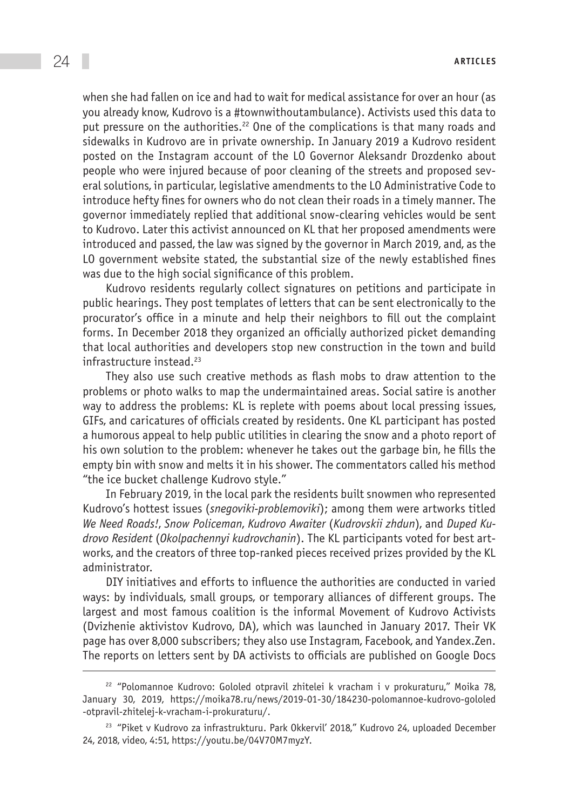when she had fallen on ice and had to wait for medical assistance for over an hour (as you already know, Kudrovo is a #townwithoutambulance). Activists used this data to put pressure on the authorities.<sup>22</sup> One of the complications is that many roads and sidewalks in Kudrovo are in private ownership. In January 2019 a Kudrovo resident posted on the Instagram account of the LO Governor Aleksandr Drozdenko about people who were injured because of poor cleaning of the streets and proposed several solutions, in particular, legislative amendments to the LO Administrative Code to introduce hefty fines for owners who do not clean their roads in a timely manner. The governor immediately replied that additional snow-clearing vehicles would be sent to Kudrovo. Later this activist announced on KL that her proposed amendments were introduced and passed, the law was signed by the governor in March 2019, and, as the LO government website stated, the substantial size of the newly established fines was due to the high social significance of this problem.

Kudrovo residents regularly collect signatures on petitions and participate in public hearings. They post templates of letters that can be sent electronically to the procurator's office in a minute and help their neighbors to fill out the complaint forms. In December 2018 they organized an officially authorized picket demanding that local authorities and developers stop new construction in the town and build infrastructure instead.<sup>23</sup>

They also use such creative methods as flash mobs to draw attention to the problems or photo walks to map the undermaintained areas. Social satire is another way to address the problems: KL is replete with poems about local pressing issues, GIFs, and caricatures of officials created by residents. One KL participant has posted a humorous appeal to help public utilities in clearing the snow and a photo report of his own solution to the problem: whenever he takes out the garbage bin, he fills the empty bin with snow and melts it in his shower. The commentators called his method "the ice bucket challenge Kudrovo style."

In February 2019, in the local park the residents built snowmen who represented Kudrovo's hottest issues (*snegoviki-problemoviki*); among them were artworks titled *We Need Roads!*, *Snow Policeman*, *Kudrovo Awaiter* (*Kudrovskii zhdun*), and *Duped Kudrovo Resident* (*Okolpachennyi kudrovchanin*). The KL participants voted for best artworks, and the creators of three top-ranked pieces received prizes provided by the KL administrator.

DIY initiatives and efforts to influence the authorities are conducted in varied ways: by individuals, small groups, or temporary alliances of different groups. The largest and most famous coalition is the informal Movement of Kudrovo Activists (Dvizhenie aktivistov Kudrovo, DA), which was launched in January 2017. Their VK page has over 8,000 subscribers; they also use Instagram, Facebook, and Yandex.Zen. The reports on letters sent by DA activists to officials are published on Google Docs

<sup>22</sup> "Polomannoe Kudrovo: Gololed otpravil zhitelei k vracham i v prokuraturu," Moika 78, January 30, 2019, [https://moika78.ru/news/2019-01-30/184230-polomannoe-kudrovo-gololed](https://moika78.ru/news/2019-01-30/184230-polomannoe-kudrovo-gololed-otpravil-zhitelej-k-vracham-i-prokuraturu/) [-otpravil-zhitelej-k-vracham-i-prokuraturu/](https://moika78.ru/news/2019-01-30/184230-polomannoe-kudrovo-gololed-otpravil-zhitelej-k-vracham-i-prokuraturu/).

<sup>&</sup>lt;sup>23</sup> "Piket v Kudrovo za infrastrukturu. Park Okkervil' 2018," Kudrovo 24, uploaded December 24, 2018, video, 4:51,<https://youtu.be/04V7OM7myzY>.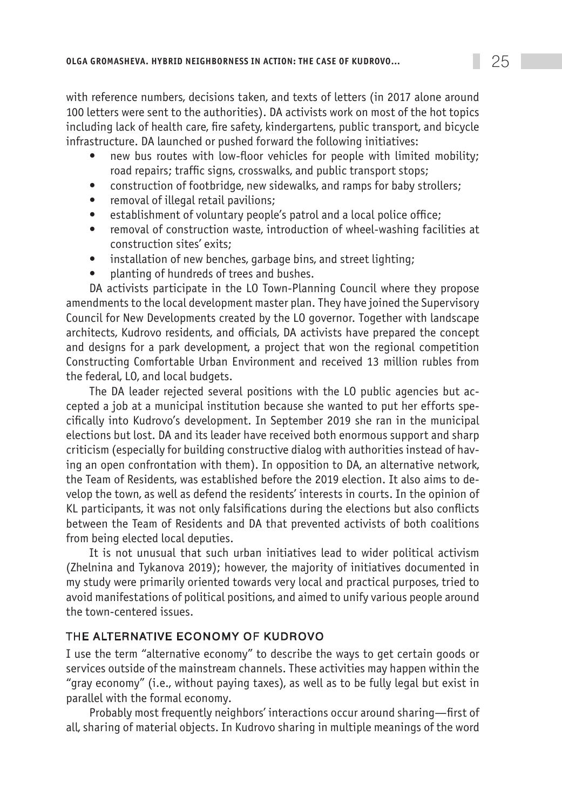with reference numbers, decisions taken, and texts of letters (in 2017 alone around 100 letters were sent to the authorities). DA activists work on most of the hot topics including lack of health care, fire safety, kindergartens, public transport, and bicycle infrastructure. DA launched or pushed forward the following initiatives:

- new bus routes with low-floor vehicles for people with limited mobility; road repairs; traffic signs, crosswalks, and public transport stops;
- construction of footbridge, new sidewalks, and ramps for baby strollers;
- removal of illegal retail pavilions;
- establishment of voluntary people's patrol and a local police office;
- removal of construction waste, introduction of wheel-washing facilities at construction sites' exits;
- installation of new benches, garbage bins, and street lighting;
- planting of hundreds of trees and bushes.

DA activists participate in the LO Town-Planning Council where they propose amendments to the local development master plan. They have joined the Supervisory Council for New Developments created by the LO governor. Together with landscape architects, Kudrovo residents, and officials, DA activists have prepared the concept and designs for a park development, a project that won the regional competition Constructing Comfortable Urban Environment and received 13 million rubles from the federal, LO, and local budgets.

The DA leader rejected several positions with the LO public agencies but accepted a job at a municipal institution because she wanted to put her efforts specifically into Kudrovo's development. In September 2019 she ran in the municipal elections but lost. DA and its leader have received both enormous support and sharp criticism (especially for building constructive dialog with authorities instead of having an open confrontation with them). In opposition to DA, an alternative network, the Team of Residents, was established before the 2019 election. It also aims to develop the town, as well as defend the residents' interests in courts. In the opinion of KL participants, it was not only falsifications during the elections but also conflicts between the Team of Residents and DA that prevented activists of both coalitions from being elected local deputies.

It is not unusual that such urban initiatives lead to wider political activism (Zhelnina and Tykanova 2019); however, the majority of initiatives documented in my study were primarily oriented towards very local and practical purposes, tried to avoid manifestations of political positions, and aimed to unify various people around the town-centered issues.

# The alternative economy of Kudrovo

I use the term "alternative economy" to describe the ways to get certain goods or services outside of the mainstream channels. These activities may happen within the "gray economy" (i.e., without paying taxes), as well as to be fully legal but exist in parallel with the formal economy.

Probably most frequently neighbors' interactions occur around sharing—first of all, sharing of material objects. In Kudrovo sharing in multiple meanings of the word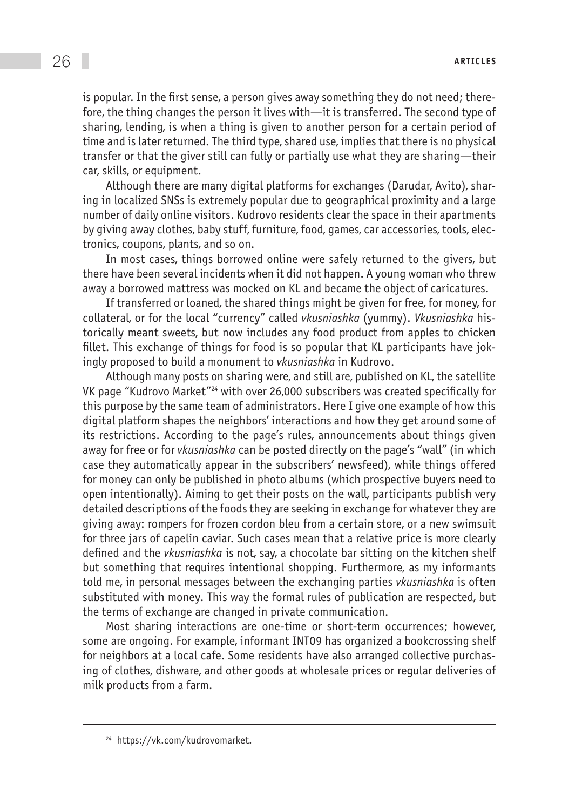is popular. In the first sense, a person gives away something they do not need; therefore, the thing changes the person it lives with—it is transferred. The second type of sharing, lending, is when a thing is given to another person for a certain period of time and is later returned. The third type, shared use, implies that there is no physical transfer or that the giver still can fully or partially use what they are sharing—their car, skills, or equipment.

Although there are many digital platforms for exchanges (Darudar, Avito), sharing in localized SNSs is extremely popular due to geographical proximity and a large number of daily online visitors. Kudrovo residents clear the space in their apartments by giving away clothes, baby stuff, furniture, food, games, car accessories, tools, electronics, coupons, plants, and so on.

In most cases, things borrowed online were safely returned to the givers, but there have been several incidents when it did not happen. A young woman who threw away a borrowed mattress was mocked on KL and became the object of caricatures.

If transferred or loaned, the shared things might be given for free, for money, for collateral, or for the local "currency" called *vkusniashka* (yummy). *Vkusniashka* historically meant sweets, but now includes any food product from apples to chicken fillet. This exchange of things for food is so popular that KL participants have jokingly proposed to build a monument to *vkusniashka* in Kudrovo.

Although many posts on sharing were, and still are, published on KL, the satellite VK page "Kudrovo Market"24 with over 26,000 subscribers was created specifically for this purpose by the same team of administrators. Here I give one example of how this digital platform shapes the neighbors' interactions and how they get around some of its restrictions. According to the page's rules, announcements about things given away for free or for *vkusniashka* can be posted directly on the page's "wall" (in which case they automatically appear in the subscribers' newsfeed), while things offered for money can only be published in photo albums (which prospective buyers need to open intentionally). Aiming to get their posts on the wall, participants publish very detailed descriptions of the foods they are seeking in exchange for whatever they are giving away: rompers for frozen cordon bleu from a certain store, or a new swimsuit for three jars of capelin caviar. Such cases mean that a relative price is more clearly defined and the *vkusniashka* is not, say, a chocolate bar sitting on the kitchen shelf but something that requires intentional shopping. Furthermore, as my informants told me, in personal messages between the exchanging parties *vkusniashka* is often substituted with money. This way the formal rules of publication are respected, but the terms of exchange are changed in private communication.

Most sharing interactions are one-time or short-term occurrences; however, some are ongoing. For example, informant INT09 has organized a bookcrossing shelf for neighbors at a local cafe. Some residents have also arranged collective purchasing of clothes, dishware, and other goods at wholesale prices or regular deliveries of milk products from a farm.

<sup>24</sup> https://vk.com/kudrovomarket.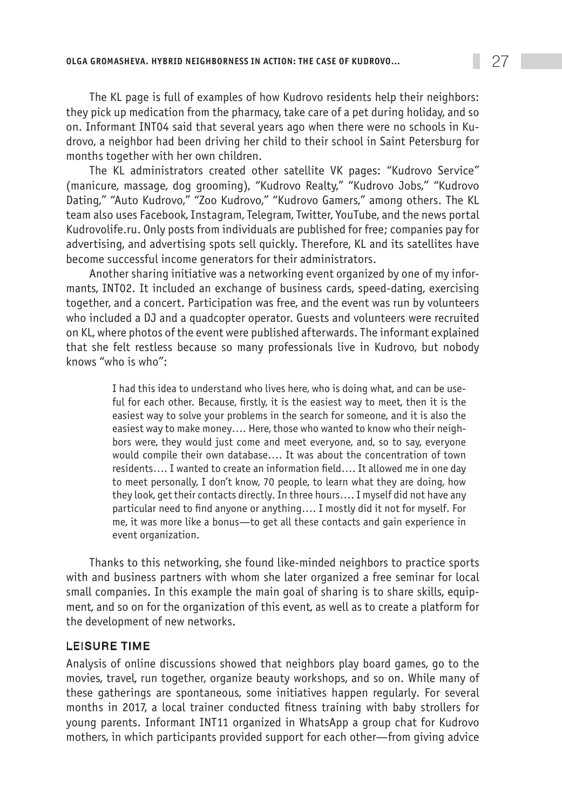The KL page is full of examples of how Kudrovo residents help their neighbors: they pick up medication from the pharmacy, take care of a pet during holiday, and so on. Informant INT04 said that several years ago when there were no schools in Kudrovo, a neighbor had been driving her child to their school in Saint Petersburg for months together with her own children.

The KL administrators created other satellite VK pages: "Kudrovo Service" (manicure, massage, dog grooming), "Kudrovo Realty," "Kudrovo Jobs," "Kudrovo Dating," "Auto Kudrovo," "Zoo Kudrovo," "Kudrovo Gamers," among others. The KL team also uses Facebook, Instagram, Telegram, Twitter, YouTube, and the news portal Kudrovolife.ru. Only posts from individuals are published for free; companies pay for advertising, and advertising spots sell quickly. Therefore, KL and its satellites have become successful income generators for their administrators.

Another sharing initiative was a networking event organized by one of my informants, INT02. It included an exchange of business cards, speed-dating, exercising together, and a concert. Participation was free, and the event was run by volunteers who included a DJ and a quadcopter operator. Guests and volunteers were recruited on KL, where photos of the event were published afterwards. The informant explained that she felt restless because so many professionals live in Kudrovo, but nobody knows "who is who":

> I had this idea to understand who lives here, who is doing what, and can be useful for each other. Because, firstly, it is the easiest way to meet, then it is the easiest way to solve your problems in the search for someone, and it is also the easiest way to make money…. Here, those who wanted to know who their neighbors were, they would just come and meet everyone, and, so to say, everyone would compile their own database…. It was about the concentration of town residents…. I wanted to create an information field…. It allowed me in one day to meet personally, I don't know, 70 people, to learn what they are doing, how they look, get their contacts directly. In three hours…. I myself did not have any particular need to find anyone or anything…. I mostly did it not for myself. For me, it was more like a bonus—to get all these contacts and gain experience in event organization.

Thanks to this networking, she found like-minded neighbors to practice sports with and business partners with whom she later organized a free seminar for local small companies. In this example the main goal of sharing is to share skills, equipment, and so on for the organization of this event, as well as to create a platform for the development of new networks.

#### Leisure time

Analysis of online discussions showed that neighbors play board games, go to the movies, travel, run together, organize beauty workshops, and so on. While many of these gatherings are spontaneous, some initiatives happen regularly. For several months in 2017, a local trainer conducted fitness training with baby strollers for young parents. Informant INT11 organized in WhatsApp a group chat for Kudrovo mothers, in which participants provided support for each other—from giving advice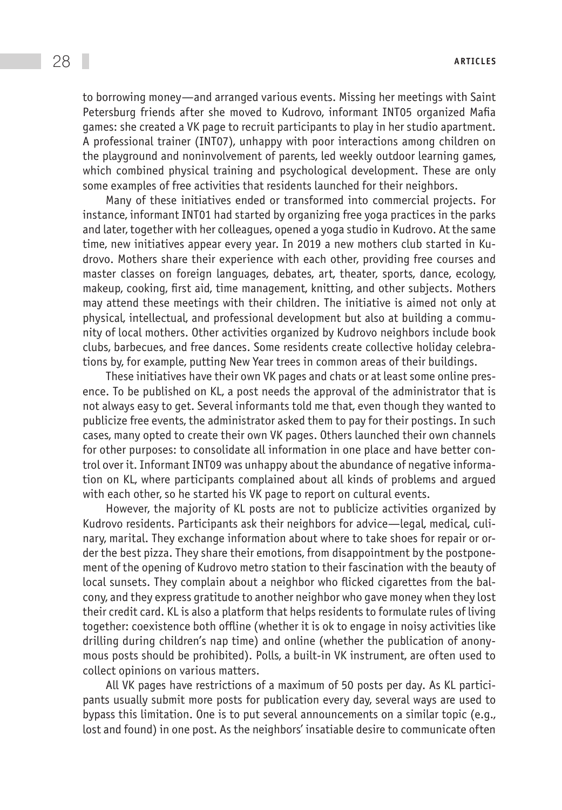to borrowing money—and arranged various events. Missing her meetings with Saint Petersburg friends after she moved to Kudrovo, informant INT05 organized Mafia games: she created a VK page to recruit participants to play in her studio apartment. A professional trainer (INT07), unhappy with poor interactions among children on the playground and noninvolvement of parents, led weekly outdoor learning games, which combined physical training and psychological development. These are only some examples of free activities that residents launched for their neighbors.

Many of these initiatives ended or transformed into commercial projects. For instance, informant INT01 had started by organizing free yoga practices in the parks and later, together with her colleagues, opened a yoga studio in Kudrovo. At the same time, new initiatives appear every year. In 2019 a new mothers club started in Kudrovo. Mothers share their experience with each other, providing free courses and master classes on foreign languages, debates, art, theater, sports, dance, ecology, makeup, cooking, first aid, time management, knitting, and other subjects. Mothers may attend these meetings with their children. The initiative is aimed not only at physical, intellectual, and professional development but also at building a community of local mothers. Other activities organized by Kudrovo neighbors include book clubs, barbecues, and free dances. Some residents create collective holiday celebrations by, for example, putting New Year trees in common areas of their buildings.

These initiatives have their own VK pages and chats or at least some online presence. To be published on KL, a post needs the approval of the administrator that is not always easy to get. Several informants told me that, even though they wanted to publicize free events, the administrator asked them to pay for their postings. In such cases, many opted to create their own VK pages. Others launched their own channels for other purposes: to consolidate all information in one place and have better control over it. Informant INT09 was unhappy about the abundance of negative information on KL, where participants complained about all kinds of problems and argued with each other, so he started his VK page to report on cultural events.

However, the majority of KL posts are not to publicize activities organized by Kudrovo residents. Participants ask their neighbors for advice—legal, medical, culinary, marital. They exchange information about where to take shoes for repair or order the best pizza. They share their emotions, from disappointment by the postponement of the opening of Kudrovo metro station to their fascination with the beauty of local sunsets. They complain about a neighbor who flicked cigarettes from the balcony, and they express gratitude to another neighbor who gave money when they lost their credit card. KL is also a platform that helps residents to formulate rules of living together: coexistence both offline (whether it is ok to engage in noisy activities like drilling during children's nap time) and online (whether the publication of anonymous posts should be prohibited). Polls, a built-in VK instrument, are often used to collect opinions on various matters.

All VK pages have restrictions of a maximum of 50 posts per day. As KL participants usually submit more posts for publication every day, several ways are used to bypass this limitation. One is to put several announcements on a similar topic (e.g., lost and found) in one post. As the neighbors' insatiable desire to communicate often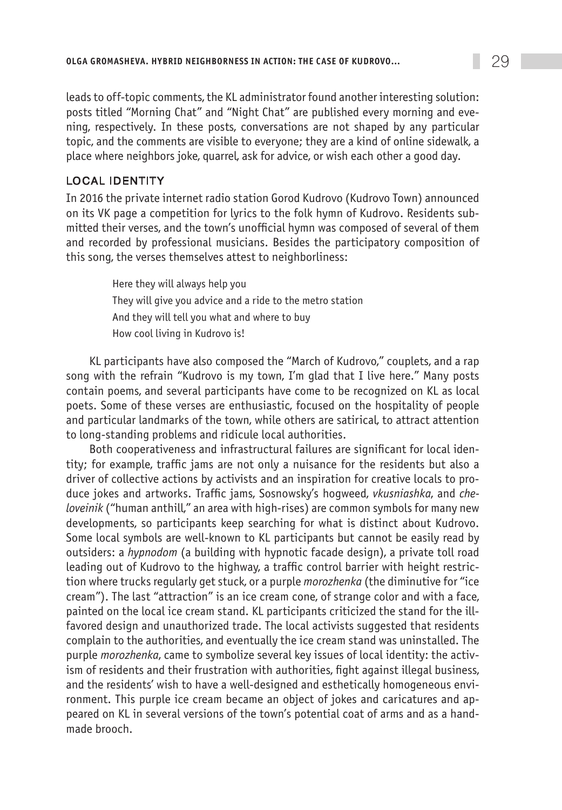leads to off-topic comments, the KL administrator found another interesting solution: posts titled "Morning Chat" and "Night Chat" are published every morning and evening, respectively. In these posts, conversations are not shaped by any particular topic, and the comments are visible to everyone; they are a kind of online sidewalk, a place where neighbors joke, quarrel, ask for advice, or wish each other a good day.

## Local identity

In 2016 the private internet radio station Gorod Kudrovo (Kudrovo Town) announced on its VK page a competition for lyrics to the folk hymn of Kudrovo. Residents submitted their verses, and the town's unofficial hymn was composed of several of them and recorded by professional musicians. Besides the participatory composition of this song, the verses themselves attest to neighborliness:

> Here they will always help you They will give you advice and a ride to the metro station And they will tell you what and where to buy How cool living in Kudrovo is!

KL participants have also composed the "March of Kudrovo," couplets, and a rap song with the refrain "Kudrovo is my town, I'm glad that I live here." Many posts contain poems, and several participants have come to be recognized on KL as local poets. Some of these verses are enthusiastic, focused on the hospitality of people and particular landmarks of the town, while others are satirical, to attract attention to long-standing problems and ridicule local authorities.

Both cooperativeness and infrastructural failures are significant for local identity; for example, traffic jams are not only a nuisance for the residents but also a driver of collective actions by activists and an inspiration for creative locals to produce jokes and artworks. Traffic jams, Sosnowsky's hogweed, *vkusniashka*, and *cheloveinik* ("human anthill," an area with high-rises) are common symbols for many new developments, so participants keep searching for what is distinct about Kudrovo. Some local symbols are well-known to KL participants but cannot be easily read by outsiders: a *hypnodom* (a building with hypnotic facade design), a private toll road leading out of Kudrovo to the highway, a traffic control barrier with height restriction where trucks regularly get stuck, or a purple *morozhenka* (the diminutive for "ice cream"). The last "attraction" is an ice cream cone, of strange color and with a face, painted on the local ice cream stand. KL participants criticized the stand for the illfavored design and unauthorized trade. The local activists suggested that residents complain to the authorities, and eventually the ice cream stand was uninstalled. The purple *morozhenka*, came to symbolize several key issues of local identity: the activism of residents and their frustration with authorities, fight against illegal business, and the residents' wish to have a well-designed and esthetically homogeneous environment. This purple ice cream became an object of jokes and caricatures and appeared on KL in several versions of the town's potential coat of arms and as a handmade brooch.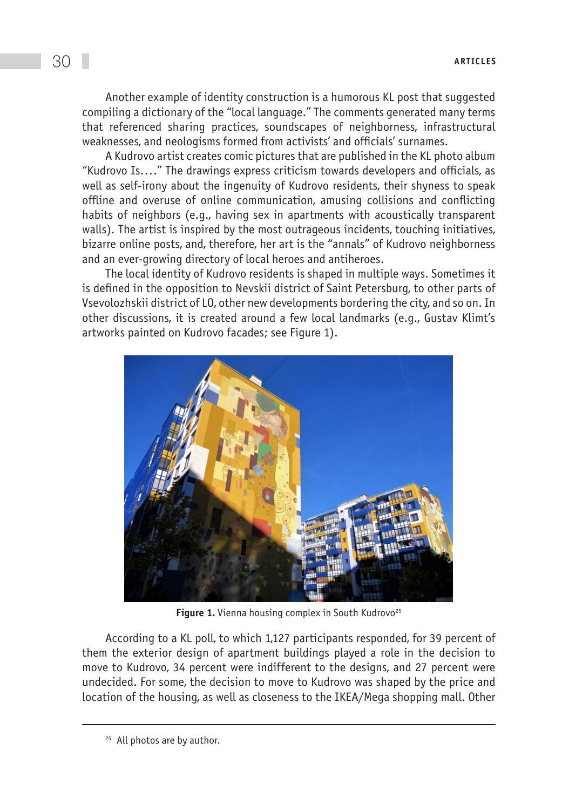Another example of identity construction is a humorous KL post that suggested compiling a dictionary of the "local language." The comments generated many terms that referenced sharing practices, soundscapes of neighborness, infrastructural weaknesses, and neologisms formed from activists' and officials' surnames.

A Kudrovo artist creates comic pictures that are published in the KL photo album "Kudrovo Is...." The drawings express criticism towards developers and officials, as well as self-irony about the ingenuity of Kudrovo residents, their shyness to speak offline and overuse of online communication, amusing collisions and conflicting habits of neighbors (e.g., having sex in apartments with acoustically transparent walls). The artist is inspired by the most outrageous incidents, touching initiatives, bizarre online posts, and, therefore, her art is the "annals" of Kudrovo neighborness and an ever-growing directory of local heroes and antiheroes.

The local identity of Kudrovo residents is shaped in multiple ways. Sometimes it is defined in the opposition to Nevskii district of Saint Petersburg, to other parts of Vsevolozhskii district of LO, other new developments bordering the city, and so on. In other discussions, it is created around a few local landmarks (e.g., Gustav Klimt's artworks painted on Kudrovo facades; see Figure 1).



Figure 1. Vienna housing complex in South Kudrovo<sup>25</sup>

According to a KL poll, to which 1,127 participants responded, for 39 percent of them the exterior design of apartment buildings played a role in the decision to move to Kudrovo, 34 percent were indifferent to the designs, and 27 percent were undecided. For some, the decision to move to Kudrovo was shaped by the price and location of the housing, as well as closeness to the IKEA/Mega shopping mall. Other

<sup>&</sup>lt;sup>25</sup> All photos are by author.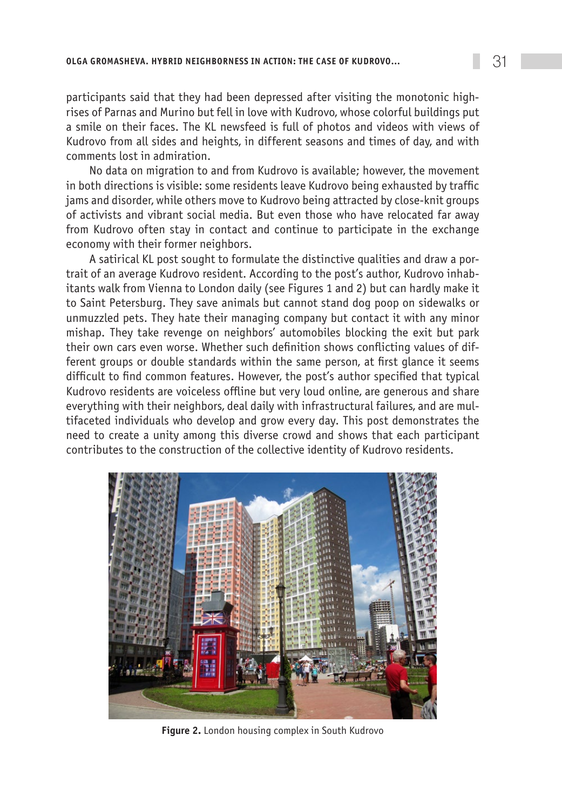participants said that they had been depressed after visiting the monotonic highrises of Parnas and Murino but fell in love with Kudrovo, whose colorful buildings put a smile on their faces. The KL newsfeed is full of photos and videos with views of Kudrovo from all sides and heights, in different seasons and times of day, and with comments lost in admiration.

No data on migration to and from Kudrovo is available; however, the movement in both directions is visible: some residents leave Kudrovo being exhausted by traffic jams and disorder, while others move to Kudrovo being attracted by close-knit groups of activists and vibrant social media. But even those who have relocated far away from Kudrovo often stay in contact and continue to participate in the exchange economy with their former neighbors.

A satirical KL post sought to formulate the distinctive qualities and draw a portrait of an average Kudrovo resident. According to the post's author, Kudrovo inhabitants walk from Vienna to London daily (see Figures 1 and 2) but can hardly make it to Saint Petersburg. They save animals but cannot stand dog poop on sidewalks or unmuzzled pets. They hate their managing company but contact it with any minor mishap. They take revenge on neighbors' automobiles blocking the exit but park their own cars even worse. Whether such definition shows conflicting values of different groups or double standards within the same person, at first glance it seems difficult to find common features. However, the post's author specified that typical Kudrovo residents are voiceless offline but very loud online, are generous and share everything with their neighbors, deal daily with infrastructural failures, and are multifaceted individuals who develop and grow every day. This post demonstrates the need to create a unity among this diverse crowd and shows that each participant contributes to the construction of the collective identity of Kudrovo residents.



**Figure 2.** London housing complex in South Kudrovo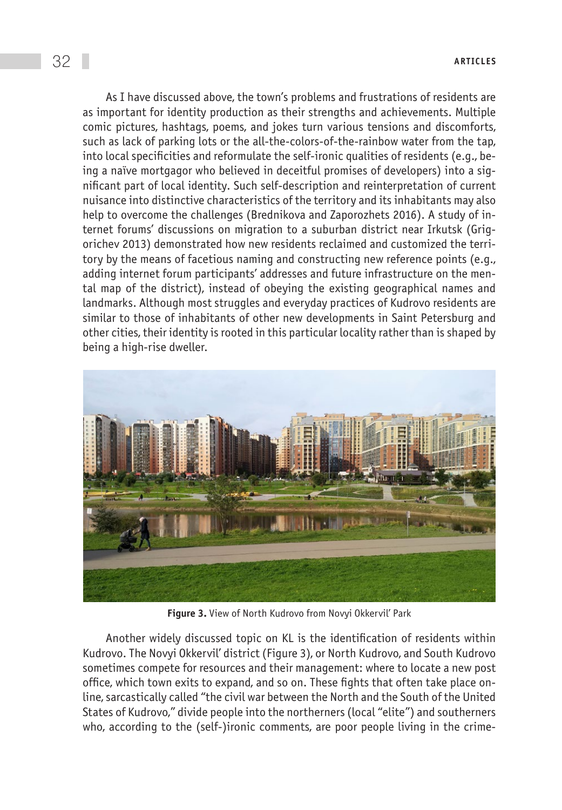As I have discussed above, the town's problems and frustrations of residents are as important for identity production as their strengths and achievements. Multiple comic pictures, hashtags, poems, and jokes turn various tensions and discomforts, such as lack of parking lots or the all-the-colors-of-the-rainbow water from the tap, into local specificities and reformulate the self-ironic qualities of residents (e.g., being a naïve mortgagor who believed in deceitful promises of developers) into a significant part of local identity. Such self-description and reinterpretation of current nuisance into distinctive characteristics of the territory and its inhabitants may also help to overcome the challenges (Brednikova and Zaporozhets 2016). A study of internet forums' discussions on migration to a suburban district near Irkutsk (Grigorichev 2013) demonstrated how new residents reclaimed and customized the territory by the means of facetious naming and constructing new reference points (e.g., adding internet forum participants' addresses and future infrastructure on the mental map of the district), instead of obeying the existing geographical names and landmarks. Although most struggles and everyday practices of Kudrovo residents are similar to those of inhabitants of other new developments in Saint Petersburg and other cities, their identity is rooted in this particular locality rather than is shaped by being a high-rise dweller.



**Figure 3.** View of North Kudrovo from Novyi Okkervil' Park

Another widely discussed topic on KL is the identification of residents within Kudrovo. The Novyi Okkervil' district (Figure 3), or North Kudrovo, and South Kudrovo sometimes compete for resources and their management: where to locate a new post office, which town exits to expand, and so on. These fights that often take place online, sarcastically called "the civil war between the North and the South of the United States of Kudrovo," divide people into the northerners (local "elite") and southerners who, according to the (self-)ironic comments, are poor people living in the crime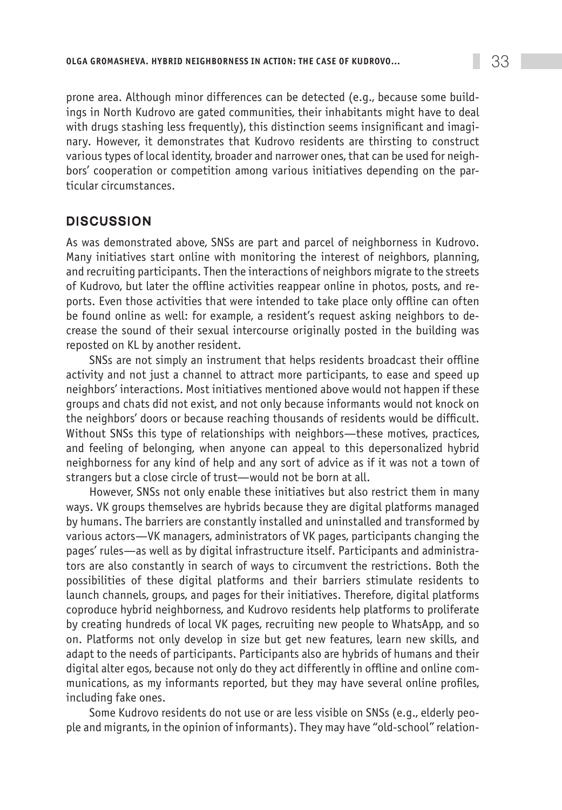prone area. Although minor differences can be detected (e.g., because some buildings in North Kudrovo are gated communities, their inhabitants might have to deal with drugs stashing less frequently), this distinction seems insignificant and imaginary. However, it demonstrates that Kudrovo residents are thirsting to construct various types of local identity, broader and narrower ones, that can be used for neighbors' cooperation or competition among various initiatives depending on the particular circumstances.

# **DISCUSSION**

As was demonstrated above, SNSs are part and parcel of neighborness in Kudrovo. Many initiatives start online with monitoring the interest of neighbors, planning, and recruiting participants. Then the interactions of neighbors migrate to the streets of Kudrovo, but later the offline activities reappear online in photos, posts, and reports. Even those activities that were intended to take place only offline can often be found online as well: for example, a resident's request asking neighbors to decrease the sound of their sexual intercourse originally posted in the building was reposted on KL by another resident.

SNSs are not simply an instrument that helps residents broadcast their offline activity and not just a channel to attract more participants, to ease and speed up neighbors' interactions. Most initiatives mentioned above would not happen if these groups and chats did not exist, and not only because informants would not knock on the neighbors' doors or because reaching thousands of residents would be difficult. Without SNSs this type of relationships with neighbors—these motives, practices, and feeling of belonging, when anyone can appeal to this depersonalized hybrid neighborness for any kind of help and any sort of advice as if it was not a town of strangers but a close circle of trust—would not be born at all.

However, SNSs not only enable these initiatives but also restrict them in many ways. VK groups themselves are hybrids because they are digital platforms managed by humans. The barriers are constantly installed and uninstalled and transformed by various actors—VK managers, administrators of VK pages, participants changing the pages' rules—as well as by digital infrastructure itself. Participants and administrators are also constantly in search of ways to circumvent the restrictions. Both the possibilities of these digital platforms and their barriers stimulate residents to launch channels, groups, and pages for their initiatives. Therefore, digital platforms coproduce hybrid neighborness, and Kudrovo residents help platforms to proliferate by creating hundreds of local VK pages, recruiting new people to WhatsApp, and so on. Platforms not only develop in size but get new features, learn new skills, and adapt to the needs of participants. Participants also are hybrids of humans and their digital alter egos, because not only do they act differently in offline and online communications, as my informants reported, but they may have several online profiles, including fake ones.

Some Kudrovo residents do not use or are less visible on SNSs (e.g., elderly people and migrants, in the opinion of informants). They may have "old-school" relation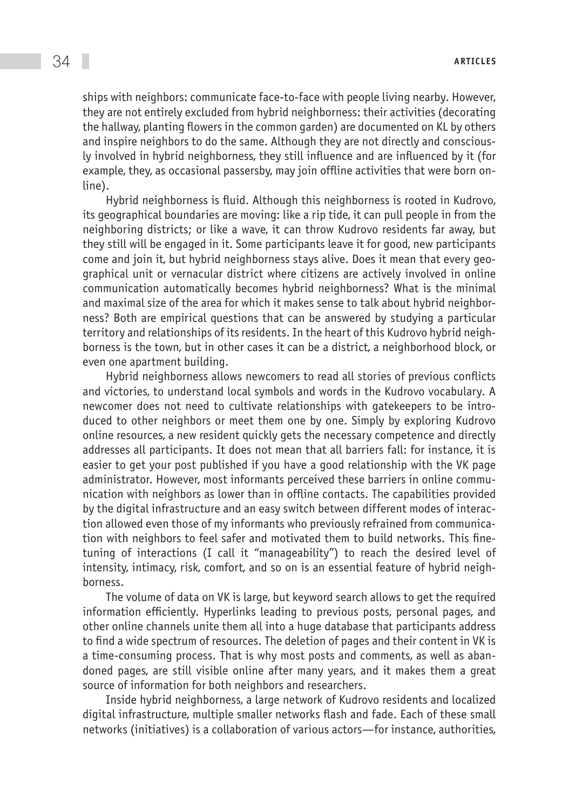ships with neighbors: communicate face-to-face with people living nearby. However, they are not entirely excluded from hybrid neighborness: their activities (decorating the hallway, planting flowers in the common garden) are documented on KL by others and inspire neighbors to do the same. Although they are not directly and consciously involved in hybrid neighborness, they still influence and are influenced by it (for example, they, as occasional passersby, may join offline activities that were born online).

Hybrid neighborness is fluid. Although this neighborness is rooted in Kudrovo, its geographical boundaries are moving: like a rip tide, it can pull people in from the neighboring districts; or like a wave, it can throw Kudrovo residents far away, but they still will be engaged in it. Some participants leave it for good, new participants come and join it, but hybrid neighborness stays alive. Does it mean that every geographical unit or vernacular district where citizens are actively involved in online communication automatically becomes hybrid neighborness? What is the minimal and maximal size of the area for which it makes sense to talk about hybrid neighborness? Both are empirical questions that can be answered by studying a particular territory and relationships of its residents. In the heart of this Kudrovo hybrid neighborness is the town, but in other cases it can be a district, a neighborhood block, or even one apartment building.

Hybrid neighborness allows newcomers to read all stories of previous conflicts and victories, to understand local symbols and words in the Kudrovo vocabulary. A newcomer does not need to cultivate relationships with gatekeepers to be introduced to other neighbors or meet them one by one. Simply by exploring Kudrovo online resources, a new resident quickly gets the necessary competence and directly addresses all participants. It does not mean that all barriers fall: for instance, it is easier to get your post published if you have a good relationship with the VK page administrator. However, most informants perceived these barriers in online communication with neighbors as lower than in offline contacts. The capabilities provided by the digital infrastructure and an easy switch between different modes of interaction allowed even those of my informants who previously refrained from communication with neighbors to feel safer and motivated them to build networks. This finetuning of interactions (I call it "manageability") to reach the desired level of intensity, intimacy, risk, comfort, and so on is an essential feature of hybrid neighborness.

The volume of data on VK is large, but keyword search allows to get the required information efficiently. Hyperlinks leading to previous posts, personal pages, and other online channels unite them all into a huge database that participants address to find a wide spectrum of resources. The deletion of pages and their content in VK is a time-consuming process. That is why most posts and comments, as well as abandoned pages, are still visible online after many years, and it makes them a great source of information for both neighbors and researchers.

Inside hybrid neighborness, a large network of Kudrovo residents and localized digital infrastructure, multiple smaller networks flash and fade. Each of these small networks (initiatives) is a collaboration of various actors—for instance, authorities,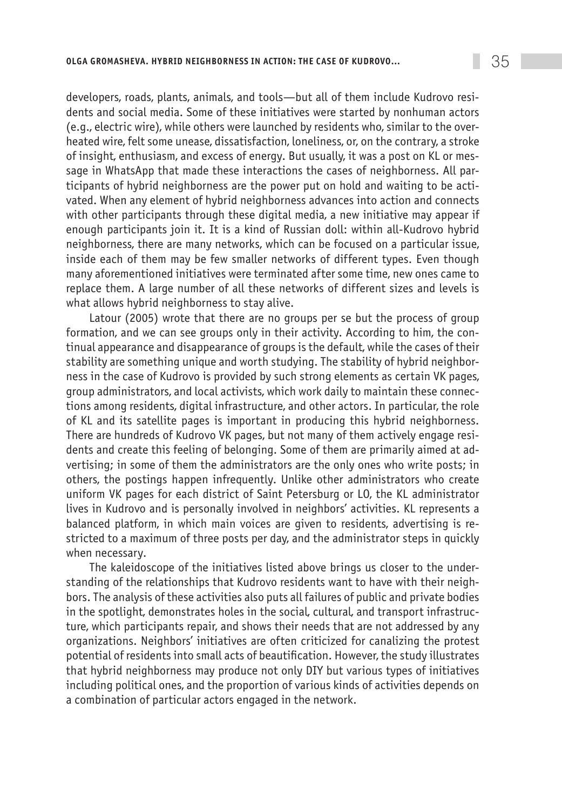developers, roads, plants, animals, and tools—but all of them include Kudrovo residents and social media. Some of these initiatives were started by nonhuman actors (e.g., electric wire), while others were launched by residents who, similar to the overheated wire, felt some unease, dissatisfaction, loneliness, or, on the contrary, a stroke of insight, enthusiasm, and excess of energy. But usually, it was a post on KL or message in WhatsApp that made these interactions the cases of neighborness. All participants of hybrid neighborness are the power put on hold and waiting to be activated. When any element of hybrid neighborness advances into action and connects with other participants through these digital media, a new initiative may appear if enough participants join it. It is a kind of Russian doll: within all-Kudrovo hybrid neighborness, there are many networks, which can be focused on a particular issue, inside each of them may be few smaller networks of different types. Even though many aforementioned initiatives were terminated after some time, new ones came to replace them. A large number of all these networks of different sizes and levels is what allows hybrid neighborness to stay alive.

Latour (2005) wrote that there are no groups per se but the process of group formation, and we can see groups only in their activity. According to him, the continual appearance and disappearance of groups is the default, while the cases of their stability are something unique and worth studying. The stability of hybrid neighborness in the case of Kudrovo is provided by such strong elements as certain VK pages, group administrators, and local activists, which work daily to maintain these connections among residents, digital infrastructure, and other actors. In particular, the role of KL and its satellite pages is important in producing this hybrid neighborness. There are hundreds of Kudrovo VK pages, but not many of them actively engage residents and create this feeling of belonging. Some of them are primarily aimed at advertising; in some of them the administrators are the only ones who write posts; in others, the postings happen infrequently. Unlike other administrators who create uniform VK pages for each district of Saint Petersburg or LO, the KL administrator lives in Kudrovo and is personally involved in neighbors' activities. KL represents a balanced platform, in which main voices are given to residents, advertising is restricted to a maximum of three posts per day, and the administrator steps in quickly when necessary.

The kaleidoscope of the initiatives listed above brings us closer to the understanding of the relationships that Kudrovo residents want to have with their neighbors. The analysis of these activities also puts all failures of public and private bodies in the spotlight, demonstrates holes in the social, cultural, and transport infrastructure, which participants repair, and shows their needs that are not addressed by any organizations. Neighbors' initiatives are often criticized for canalizing the protest potential of residents into small acts of beautification. However, the study illustrates that hybrid neighborness may produce not only DIY but various types of initiatives including political ones, and the proportion of various kinds of activities depends on a combination of particular actors engaged in the network.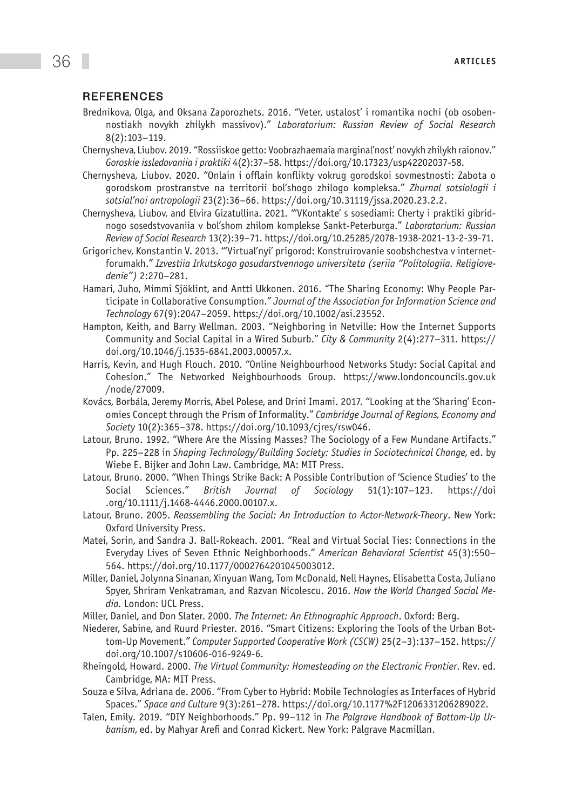#### **REFERENCES**

- Brednikova, Olga, and Oksana Zaporozhets. 2016. "Veter, ustalost' i romantika nochi (ob osobennostiakh novykh zhilykh massivov)." *Laboratorium: Russian Review of Social Research*  8(2):103–119.
- Chernysheva, Liubov. 2019. "Rossiiskoe getto: Voobrazhaemaia marginal'nost' novykh zhilykh raionov." *Goroskie issledovaniia i praktiki* 4(2):37–58. [https://doi.org/10.17323/usp42202037-58.](https://doi.org/10.17323/usp42202037-58)
- Chernysheva, Liubov. 2020. "Onlain i offlain konflikty vokrug gorodskoi sovmestnosti: Zabota o gorodskom prostranstve na territorii bol'shogo zhilogo kompleksa." *Zhurnal sotsiologii i sotsial'noi antropologii* 23(2):36–66. [https://doi.org/10.31119/jssa.2020.23.2.2.](https://doi.org/10.31119/jssa.2020.23.2.2)
- Chernysheva, Liubov, and Elvira Gizatullina. 2021. "'VKontakte' s sosediami: Cherty i praktiki gibridnogo sosedstvovaniia v bol'shom zhilom komplekse Sankt-Peterburga." *Laboratorium: Russian Review of Social Research* 13(2):39–71. https://doi.org/10.25285/2078-1938-2021-13-2-39-71.
- Grigorichev, Konstantin V. 2013. "'Virtual'nyi' prigorod: Konstruirovanie soobshchestva v internetforumakh." *Izvestiia Irkutskogo gosudarstvennogo universiteta (seriia "Politologiia. Religiovedenie")* 2:270–281.
- Hamari, Juho, Mimmi Sjöklint, and Antti Ukkonen. 2016. "The Sharing Economy: Why People Participate in Collaborative Consumption." *Journal of the Association for Information Science and Technology* 67(9):2047–2059. [https://doi.org/10.1002/asi.23552.](https://doi.org/10.1002/asi.23552)
- Hampton, Keith, and Barry Wellman. 2003. "Neighboring in Netville: How the Internet Supports Community and Social Capital in a Wired Suburb." *City & Community* 2(4):277–311. [https://](https://doi.org/10.1046/j.1535-6841.2003.00057.x) [doi.org/10.1046/j.1535-6841.2003.00057.x.](https://doi.org/10.1046/j.1535-6841.2003.00057.x)
- Harris, Kevin, and Hugh Flouch. 2010. "Online Neighbourhood Networks Study: Social Capital and Cohesion." The Networked Neighbourhoods Group. [https://www.londoncouncils.gov.uk](https://www.londoncouncils.gov.uk/node/27009) [/node/27009.](https://www.londoncouncils.gov.uk/node/27009)
- Kovács, Borbála, Jeremy Morris, Abel Polese, and Drini Imami. 2017. "Looking at the 'Sharing' Economies Concept through the Prism of Informality." *Cambridge Journal of Regions, Economy and Society* 10(2):365–378. <https://doi.org/10.1093/cjres/rsw046>.
- Latour, Bruno. 1992. "Where Are the Missing Masses? The Sociology of a Few Mundane Artifacts." Pp. 225–228 in *Shaping Technology/Building Society: Studies in Sociotechnical Change*, ed. by Wiebe E. Bijker and John Law. Cambridge, MA: MIT Press.
- Latour, Bruno. 2000. "When Things Strike Back: A Possible Contribution of 'Science Studies' to the Social Sciences." *British Journal of Sociology* 51(1):107–123. [https://doi](https://doi.org/10.1111/j.1468-4446.2000.00107.x) [.org/10.1111/j.1468-4446.2000.00107.x](https://doi.org/10.1111/j.1468-4446.2000.00107.x).
- Latour, Bruno. 2005. *Reassembling the Social: An Introduction to Actor-Network-Theory*. New York: Oxford University Press.
- Matei, Sorin, and Sandra J. Ball-Rokeach. 2001. "Real and Virtual Social Ties: Connections in the Everyday Lives of Seven Ethnic Neighborhoods." *American Behavioral Scientist* 45(3):550– 564. [https://doi.org/10.1177/0002764201045003012.](https://doi.org/10.1177%2F0002764201045003012)
- Miller, Daniel, Jolynna Sinanan, Xinyuan Wang, Tom McDonald, Nell Haynes, Elisabetta Costa, Juliano Spyer, Shriram Venkatraman, and Razvan Nicolescu. 2016. *How the World Changed Social Media.* London: UCL Press.
- Miller, Daniel, and Don Slater. 2000. *The Internet: An Ethnographic Approach*. Oxford: Berg.
- Niederer, Sabine, and Ruurd Priester. 2016. "Smart Citizens: Exploring the Tools of the Urban Bottom-Up Movement." *Computer Supported Cooperative Work (CSCW)* 25(2–3):137–152. [https://](https://doi.org/10.1007/s10606-016-9249-6) [doi.org/10.1007/s10606-016-9249-6](https://doi.org/10.1007/s10606-016-9249-6).
- Rheingold, Howard. 2000. *The Virtual Community: Homesteading on the Electronic Frontier*. Rev. ed. Cambridge, MA: MIT Press.
- Souza e Silva, Adriana de. 2006. "From Cyber to Hybrid: Mobile Technologies as Interfaces of Hybrid Spaces." *Space and Culture* 9(3):261–278.<https://doi.org/10.1177%2F1206331206289022>.
- Talen, Emily. 2019. "DIY Neighborhoods." Pp. 99–112 in *The Palgrave Handbook of Bottom-Up Urbanism*, ed. by Mahyar Arefi and Conrad Kickert. New York: Palgrave Macmillan.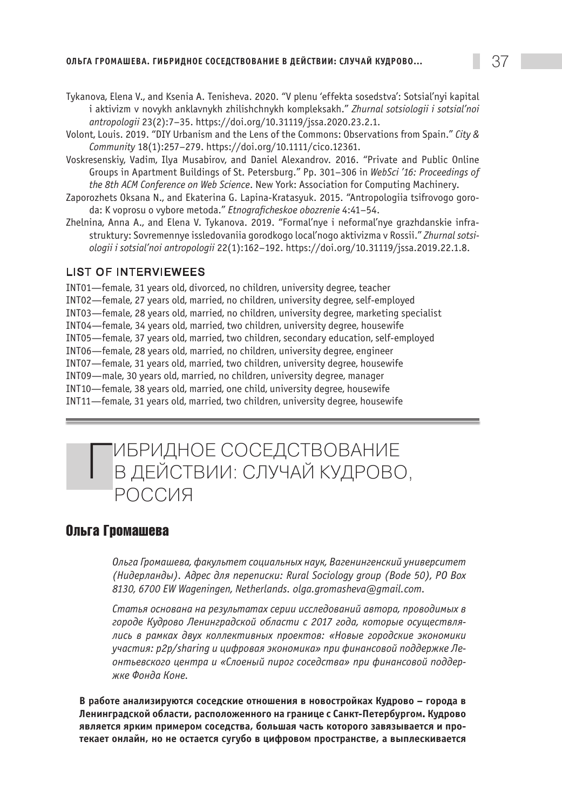- Tykanova, Elena V., and Ksenia A. Tenisheva. 2020. "V plenu 'effekta sosedstva': Sotsial'nyi kapital i aktivizm v novykh anklavnykh zhilishchnykh kompleksakh." *Zhurnal sotsiologii i sotsial'noi antropologii* 23(2):7–35. [https://doi.org/10.31119/jssa.2020.23.2.1.](https://doi.org/10.31119/jssa.2020.23.2.1)
- Volont, Louis. 2019. "DIY Urbanism and the Lens of the Commons: Observations from Spain." *City & Community* 18(1):257–279. [https://doi.org/10.1111/cico.12361.](https://doi.org/10.1111/cico.12361)
- Voskresenskiy, Vadim, Ilya Musabirov, and Daniel Alexandrov. 2016. "Private and Public Online Groups in Apartment Buildings of St. Petersburg." Pp. 301–306 in *WebSci '16: Proceedings of the 8th ACM Conference on Web Science*. New York: Association for Computing Machinery.
- Zaporozhets Oksana N., and Ekaterina G. Lapina-Kratasyuk. 2015. "Antropologiia tsifrovogo goroda: K voprosu o vybore metoda." *Etnograficheskoe obozrenie* 4:41–54.
- Zhelnina, Anna A., and Elena V. Tykanova. 2019. "Formal'nye i neformal'nye grazhdanskie infrastruktury: Sovremennye issledovaniia gorodkogo local'nogo aktivizma v Rossii." *Zhurnal sotsiologii i sotsial'noi antropologii* 22(1):162–192.<https://doi.org/10.31119/jssa.2019.22.1.8>.

#### List of Interviewees

INT01—female, 31 years old, divorced, no children, university degree, teacher INT02—female, 27 years old, married, no children, university degree, self-employed INT03—female, 28 years old, married, no children, university degree, marketing specialist INT04—female, 34 years old, married, two children, university degree, housewife INT05—female, 37 years old, married, two children, secondary education, self-employed INT06—female, 28 years old, married, no children, university degree, engineer INT07—female, 31 years old, married, two children, university degree, housewife INT09—male, 30 years old, married, no children, university degree, manager INT10—female, 38 years old, married, one child, university degree, housewife INT11—female, 31 years old, married, two children, university degree, housewife



ПИБРИДНОЕ СОСЕДСТВОВАНИЕ<br>В ДЕЙСТВИИ: СЛУЧАЙ КУДРОВО, РОССИЯ

## **Ольга Громашева**

*Ольга Громашева, факультет социальных наук, Вагенингенский университет (Нидерланды). Адрес для переписки: Rural Sociology group (Bode 50), PO Box 8130, 6700 EW Wageningen, Netherlands. [olga.gromasheva@gmail.com.](mailto:olga.gromasheva@gmail.com)* 

*Статья основана на результатах серии исследований автора, проводимых в городе Кудрово Ленинградской области с 2017 года, которые осуществлялись в рамках двух коллективных проектов: «Новые городские экономики участия: р2р/sharing и цифровая экономика» при финансовой поддержке Леонтьевского центра и «Слоеный пирог соседства» при финансовой поддержке Фонда Коне.*

**В работе анализируются соседские отношения в новостройках Кудрово – города в Ленинградской области, расположенного на границе с Санкт-Петербургом. Кудрово является ярким примером соседства, большая часть которого завязывается и протекает онлайн, но не остается сугубо в цифровом пространстве, а выплескивается**